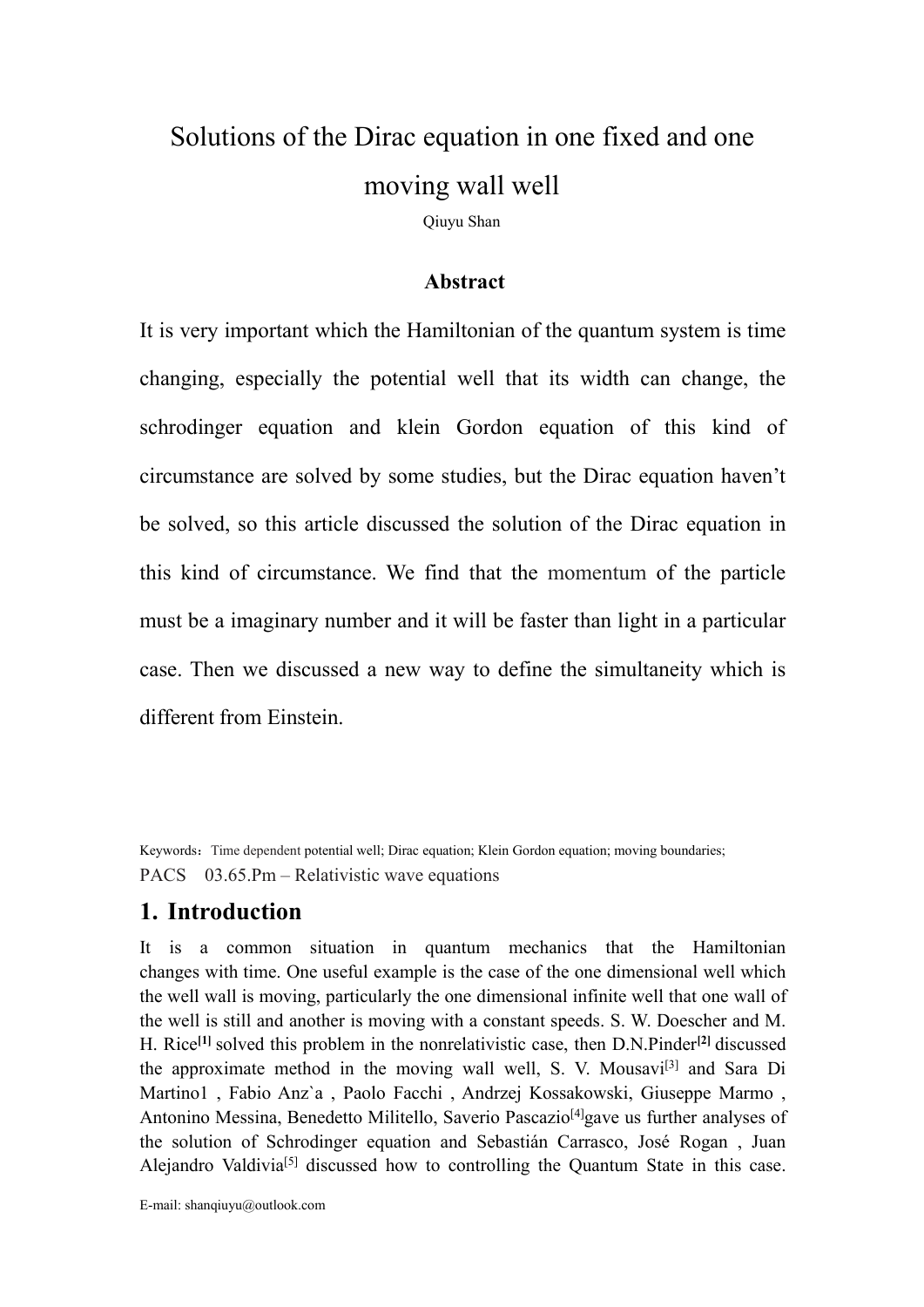# [Solutions](https://iopscience.iop.org/0295-5075/101/6/60003) of the [Dirac](javascript:;) [equation](javascript:;) in one fixed and one moving wall well

Qiuyu Shan

#### **[Abstract](javascript:;)**

It is very important which the Hamiltonian of the quantum system is time changing, especially the potential well that its width can change, the schrodinger equation and klein Gordon equation of this kind of circumstance are solved by some studies, but the Dirac equation haven't be solved, so this article discussed the solution of the Dirac equation in this kind of circumstance. We find that the momentum of the particle must be a imaginary number and it will be faster than light in a particular case. Then we discussed a new way to define the simultaneity which is different from Einstein.

Keywords: Time dependent potential well; [Dirac](javascript:;) [equation](javascript:;); Klein Gordon equation; moving boundaries; PACS 03.65.Pm – Relativistic wave equations

#### **1. Introduction**

It is a common situation in [quantum](javascript:;) [mechanics](javascript:;) that the Hamiltonian changes with time. One useful example is the case of the one dimensional well which the well wall is moving, particularly the one dimensional infinite well that one wall of the well is [still](javascript:;) and another is moving with a constant speeds. S. W. Doescher and M. H. Rice **[1]** solved this problem in the nonrelativistic case, then D.N.Pinder **[2]** discussed the approximate method in the moving wall well, S. V. Mousavi<sup>[3]</sup> and Sara Di Martino1 , Fabio Anz`a , Paolo Facchi , Andrzej Kossakowski, Giuseppe Marmo , Antonino Messina, Benedetto Militello, Saverio Pascazio<sup>[4]</sup>gave us further analyses of the solution of Schrodinger equation and Sebastián Carrasco, José Rogan , Juan Alejandro Valdivia<sup>[5]</sup> discussed how to controlling the Quantum State in this case.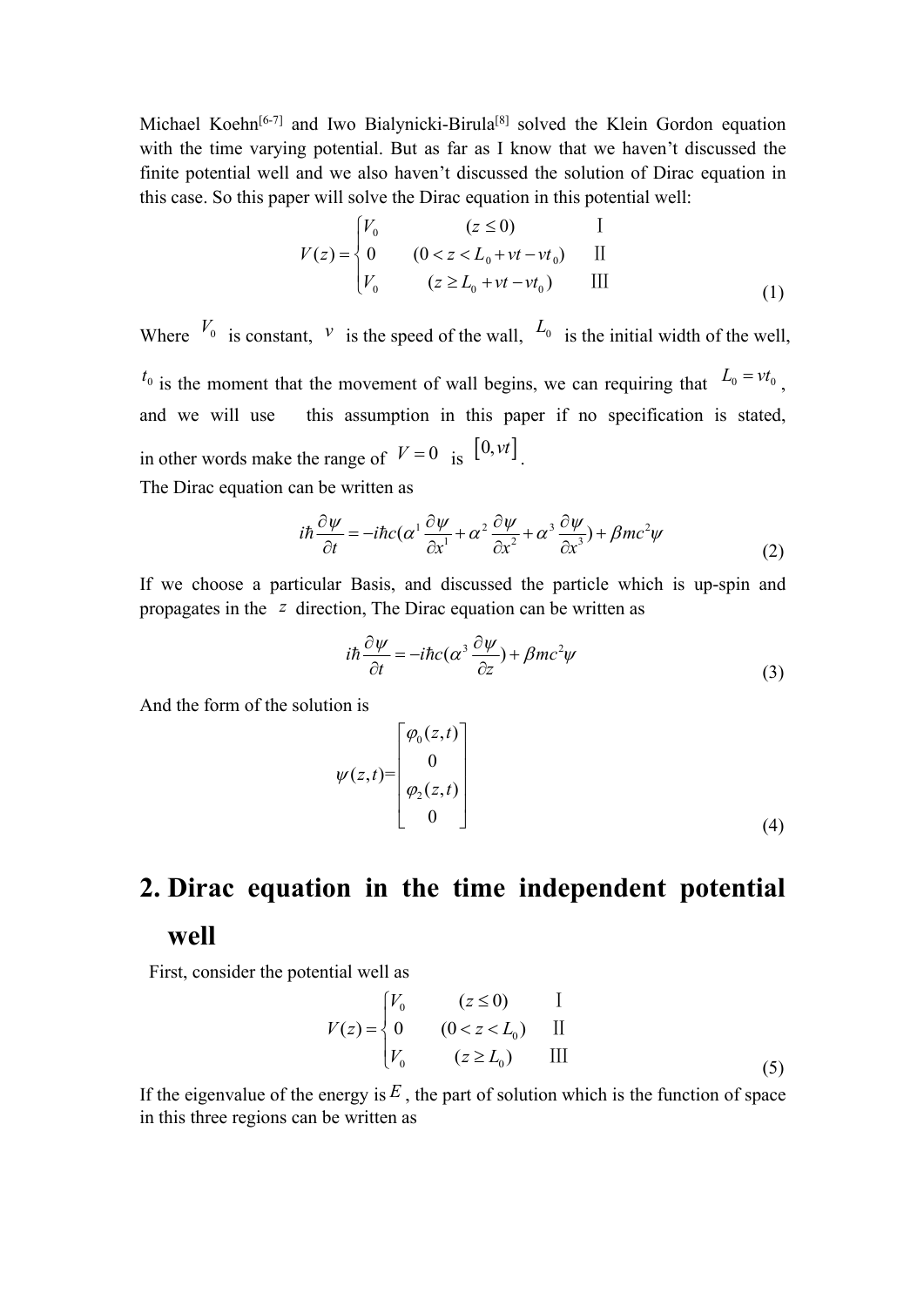Michael Koehn<sup>[6-7]</sup> and Iwo Bialynicki-Birula<sup>[8]</sup> solved the Klein Gordon equation with the time varying potential. But as far as I know that we haven't discussed the finite potential well and we also haven't discussed the solution of [Dirac](javascript:;) [equation](javascript:;) in this case. So this paper will solve the [Dirac](javascript:;) [equation](javascript:;) in this potential well:

$$
V(z) = \begin{cases} V_0 & (z \le 0) & \text{if} \\ 0 & (0 < z < L_0 + vt - vt_0) & \text{if} \\ V_0 & (z \ge L_0 + vt - vt_0) & \text{if} \end{cases} \tag{1}
$$

Where  $V_0$  is constant, *v* is the speed of the wall,  $L_0$  is the initial width of the well,  $t_0$  is the moment that the movement of wall begins, we can requiring that  $L_0 = vt_0$ , , and we will use this assumption in this paper if no specification is stated, [in](javascript:;) [other](javascript:;) [words](javascript:;) make the range of  $V = 0$  is  $[0, vt]$ . . The Dirac equation can be written as

$$
i\hbar \frac{\partial \psi}{\partial t} = -i\hbar c (\alpha^1 \frac{\partial \psi}{\partial x^1} + \alpha^2 \frac{\partial \psi}{\partial x^2} + \alpha^3 \frac{\partial \psi}{\partial x^3}) + \beta mc^2 \psi
$$
 (2)

If we choose a particular Basis, and discussed the particle which is up-spin and propagates in the *z* direction, The Dirac equation can be written as

$$
i\hbar \frac{\partial \psi}{\partial t} = -i\hbar c (\alpha^3 \frac{\partial \psi}{\partial z}) + \beta mc^2 \psi
$$
\n(3)

And the form of the solution is

$$
\psi(z,t) = \begin{bmatrix} \varphi_0(z,t) \\ 0 \\ \varphi_2(z,t) \\ 0 \end{bmatrix}
$$
 (4)

# **2. [Dirac](javascript:;) [equation](javascript:;) in the time independent potential well**

First, consider the potential well as

$$
V(z) = \begin{cases} V_0 & (z \le 0) & \text{I} \\ 0 & (0 < z < L_0) \\ V_0 & (z \ge L_0) & \text{III} \end{cases} \tag{5}
$$

If the eigenvalue of the energy is  $E$ , the part of solution which is the [function](javascript:;) of space in this three regions can be written as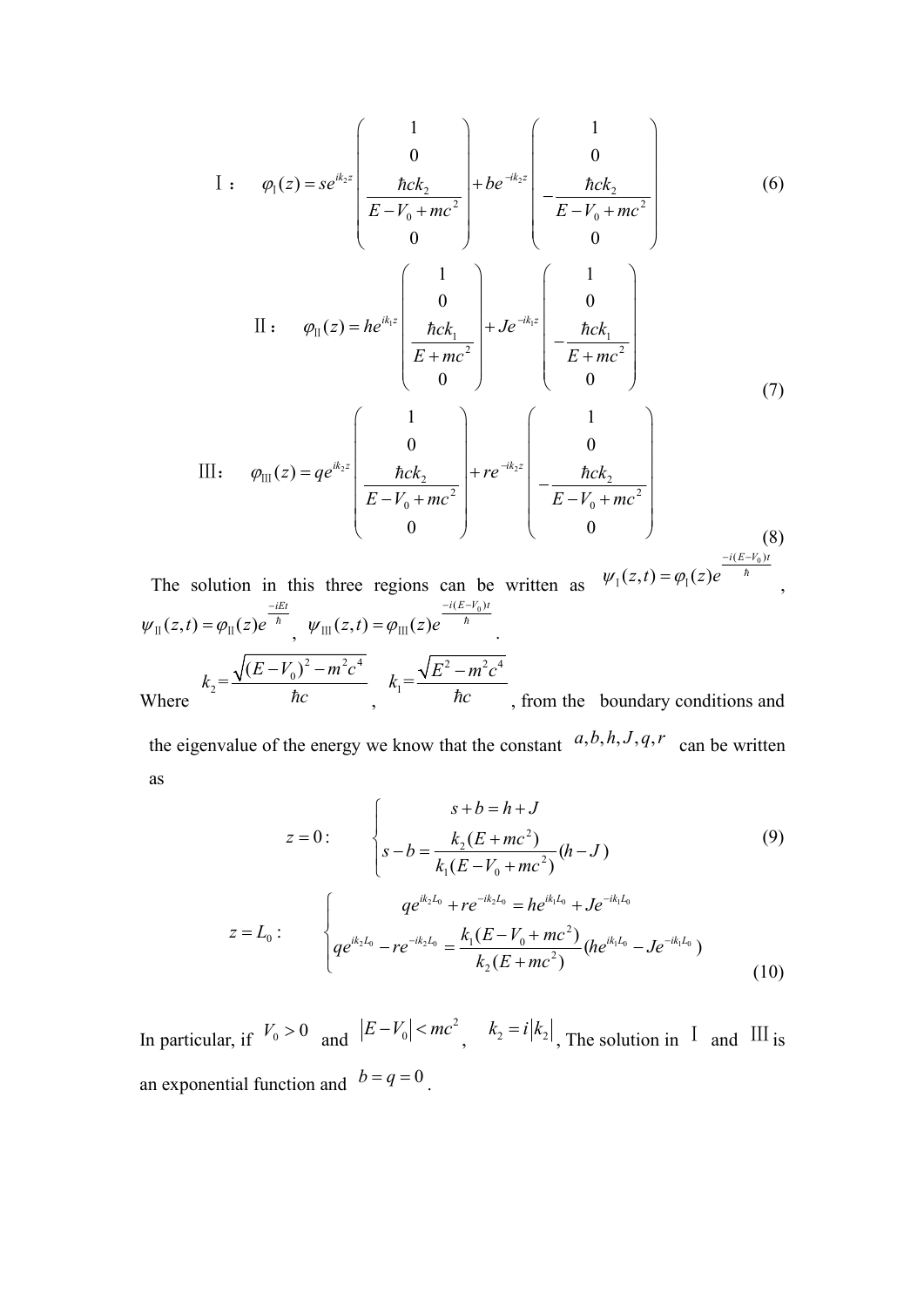I: 
$$
\varphi_1(z) = se^{ik_2z} \begin{pmatrix} 1 & 0 \ 0 & \frac{\hbar ck_2}{E - V_0 + mc^2} \end{pmatrix} + be^{-ik_2z} \begin{pmatrix} 1 & 0 \ 0 & \frac{\hbar ck_2}{E - V_0 + mc^2} \end{pmatrix}
$$
 (6)  
\nII:  $\varphi_{II}(z) = he^{ik_1z} \begin{pmatrix} 1 & 0 \ 0 & \frac{\hbar ck_1}{E + mc^2} \end{pmatrix} + Je^{-ik_1z} \begin{pmatrix} 1 & 0 \ 0 & 0 \ \frac{\hbar ck_1}{E + mc^2} & 0 \end{pmatrix}$  (7)  
\nIII:  $\varphi_{III}(z) = qe^{ik_2z} \begin{pmatrix} 1 & 0 \ 0 & \frac{\hbar ck_2}{E - V_0 + mc^2} \end{pmatrix} + re^{-ik_2z} \begin{pmatrix} 1 & 0 \ 0 & 0 \ \frac{\hbar ck_2}{E - V_0 + mc^2} & 0 \end{pmatrix}$  (8)  
\nolution in this three regions can be written as  $\psi_1(z, t) = \varphi_1(z)e^{\frac{-i(E - V_0)t}{h}}$ 

The solution in this three regions can be written as 
$$
\psi_1(z,t) = \varphi_1(z)e^{-\pi}
$$
  
\n
$$
\psi_{\text{II}}(z,t) = \varphi_{\text{II}}(z)e^{-\pi} \psi_{\text{III}}(z,t) = \varphi_{\text{III}}(z)e^{-\pi}
$$
\nwhere  $k_2 = \frac{\sqrt{(E-V_0)^2 - m^2c^4}}{\hbar c}$ ,  $k_1 = \frac{\sqrt{E^2 - m^2c^4}}{\hbar c}$ , from the boundary conditions and

the eigenvalue of the energy we know that the constant  $a, b, h, J, q, r$  can be written as

$$
z = 0: \qquad \begin{cases} \n s + b = h + J \\ \ns - b = \frac{k_2 (E + mc^2)}{k_1 (E - V_0 + mc^2)} (h - J) \n\end{cases} \n\tag{9}
$$
\n
$$
z = L_0: \qquad \begin{cases} \n q e^{ik_2 L_0} + r e^{-ik_2 L_0} = h e^{ik_1 L_0} + J e^{-ik_1 L_0} \\ \n q e^{ik_2 L_0} - r e^{-ik_2 L_0} = \frac{k_1 (E - V_0 + mc^2)}{k_2 (E + mc^2)} (h e^{ik_1 L_0} - J e^{-ik_1 L_0}) \n\end{cases} \n\tag{10}
$$

In [particular,](javascript:;) if  $V_0 > 0$  and  $|E - V_0| < mc^2$ ,  $k_2 = i|k_2|$ , The solution in I and III is an exponential function and  $b = q = 0$ .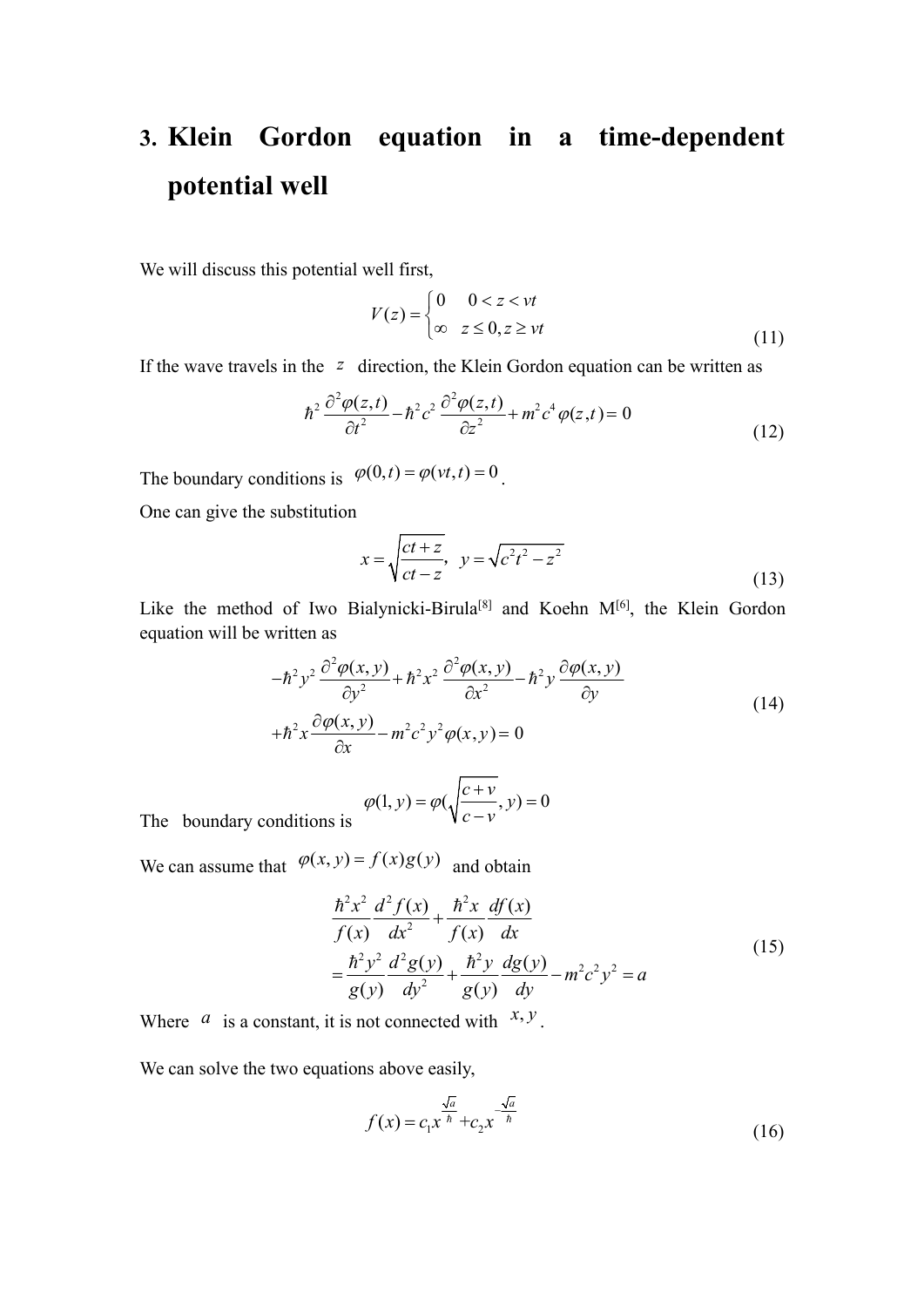## **3. Klein Gordon equation in a time-dependent potential well**

We will discuss this potential well first,

$$
V(z) = \begin{cases} 0 & 0 < z < vt \\ \infty & z \le 0, z \ge vt \end{cases} \tag{11}
$$

If the wave travels in the *z* direction, the Klein Gordon equation can be written as

$$
\hbar^2 \frac{\partial^2 \varphi(z,t)}{\partial t^2} - \hbar^2 c^2 \frac{\partial^2 \varphi(z,t)}{\partial z^2} + m^2 c^4 \varphi(z,t) = 0
$$
\n(12)

The [boundary](javascript:;) [conditions](javascript:;) is  $\varphi(0,t) = \varphi(vt,t) = 0$ . .

One can give the substitution

$$
x = \sqrt{\frac{ct+z}{ct-z}}, \quad y = \sqrt{c^2t^2 - z^2}
$$
 (13)

Like the [method](javascript:;) of Iwo Bialynicki-Birula<sup>[8]</sup> and Koehn  $M^{[6]}$ , the Klein Gordon equation will be written as

$$
-\hbar^2 y^2 \frac{\partial^2 \varphi(x, y)}{\partial y^2} + \hbar^2 x^2 \frac{\partial^2 \varphi(x, y)}{\partial x^2} - \hbar^2 y \frac{\partial \varphi(x, y)}{\partial y}
$$
  
+
$$
\hbar^2 x \frac{\partial \varphi(x, y)}{\partial x} - m^2 c^2 y^2 \varphi(x, y) = 0
$$
\n(14)

$$
\varphi(1, y) = \varphi\left(\sqrt{\frac{c + v}{c - v}}, y\right) = 0
$$

The [boundary](javascript:;) [conditions](javascript:;) is

We can assume that  $\varphi(x, y) = f(x)g(y)$  and obtain

$$
\frac{\hbar^2 x^2}{f(x)} \frac{d^2 f(x)}{dx^2} + \frac{\hbar^2 x}{f(x)} \frac{df(x)}{dx}
$$
\n
$$
= \frac{\hbar^2 y^2}{g(y)} \frac{d^2 g(y)}{dy^2} + \frac{\hbar^2 y}{g(y)} \frac{dg(y)}{dy} - m^2 c^2 y^2 = a
$$
\n(15)

Where  $a$  is a [constant](javascript:;), it is not connected with  $x, y$ . .

We can solve the two equations above easily,

$$
f(x) = c_1 x^{\frac{\sqrt{a}}{h}} + c_2 x^{-\frac{\sqrt{a}}{h}}
$$
 (16)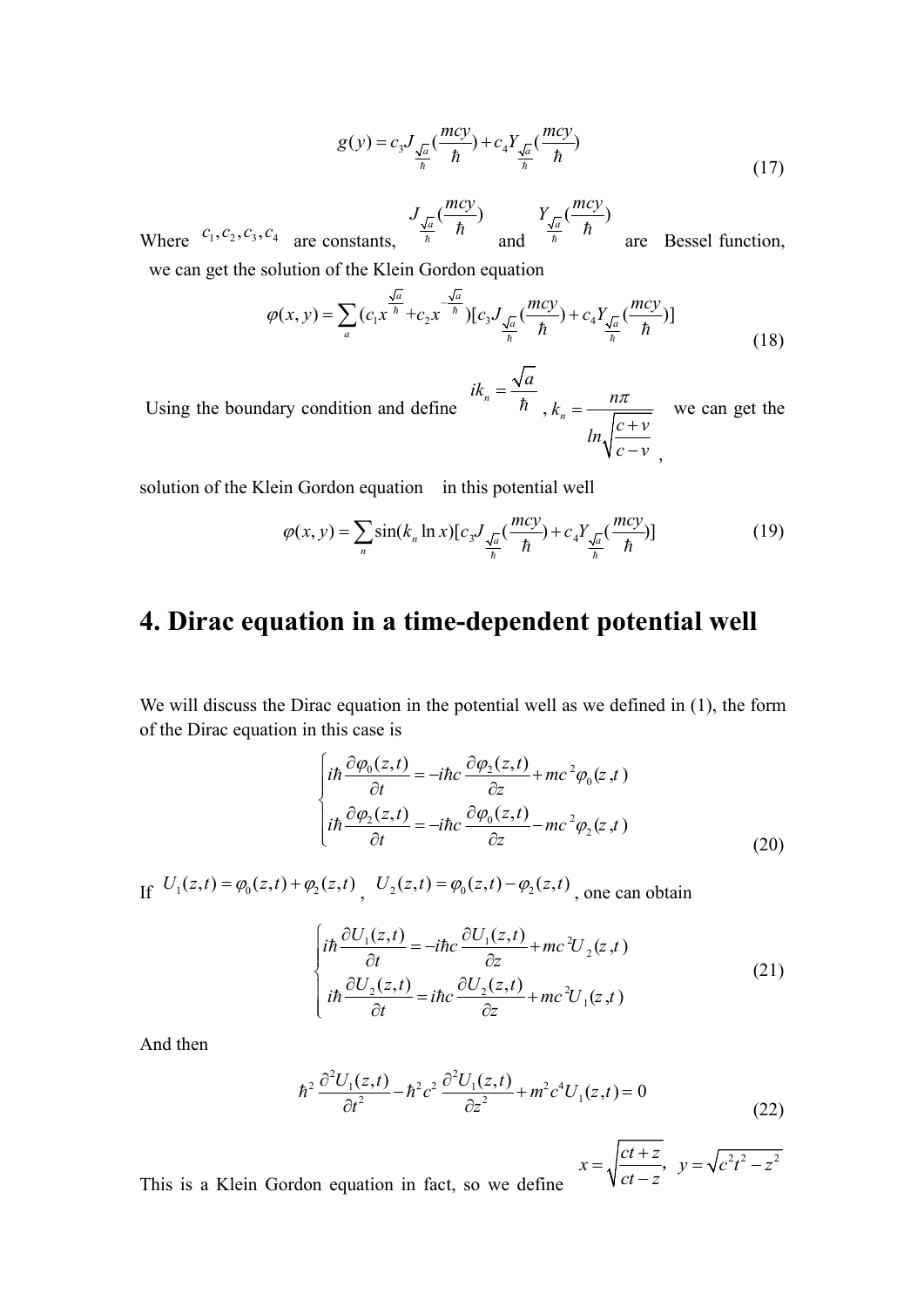$$
g(y) = c_3 J_{\frac{\sqrt{a}}{h}}(\frac{mcy}{\hbar}) + c_4 Y_{\frac{\sqrt{a}}{h}}(\frac{mcy}{\hbar})
$$
\n(17)

Where  $c_1, c_2, c_3, c_4$  are [constants](javascript:;),  $\frac{J_{\sqrt{a}}}{\hbar} \left( \frac{mcy}{\hbar} \right)$  and  $\frac{Y_{\sqrt{a}}}{\hbar} \left( \frac{mcy}{\hbar} \right)$  are Bessel function  $\frac{a}{\hbar}$   $\hbar$  and  $\frac{\sqrt{a}}{\hbar}$   $\hbar$  are Bessel function  $Y_{\sqrt{a}}\left(\frac{mcy}{b}\right)$  $\frac{a}{\hbar}$   $\hbar$  are [Bessel](javascript:;) [function](javascript:;),

we can get the [solution](javascript:;) of the Klein Gordon equation

$$
\varphi(x, y) = \sum_{a} (c_1 x^{\frac{\sqrt{a}}{\hbar}} + c_2 x^{\frac{-\sqrt{a}}{\hbar}}) [c_3 J_{\frac{\sqrt{a}}{\hbar}}(\frac{mcy}{\hbar}) + c_4 Y_{\frac{\sqrt{a}}{\hbar}}(\frac{mcy}{\hbar})]
$$
(18)

Using the boundary condition and define  $ik_n = \frac{\sqrt{a}}{\hbar}$ ,  $k_n = \frac{n\pi}{\sqrt{a}}$  we can get the  $ln \sqrt{\frac{c+v}{c}}$  $c - v$  $=\frac{n\pi}{\sqrt{m}}$  we can get the  $+v$  $\frac{y}{y}$  we can get the<br> $\frac{y}{-y}$ ,

[solution](javascript:;) of the Klein Gordon equation in this potential well

$$
\varphi(x, y) = \sum_{n} \sin(k_n \ln x) \left[ c_3 J_{\frac{\sqrt{a}}{\hbar}} \left( \frac{mcy}{\hbar} \right) + c_4 Y_{\frac{\sqrt{a}}{\hbar}} \left( \frac{mcy}{\hbar} \right) \right]
$$
(19)

#### **4. Dirac equation in a time-dependent potential well**

We will discuss the [Dirac](javascript:;) [equation](javascript:;) in the potential well as we defined in (1), the form of the Dirac equation in this case is

$$
\begin{cases}\ni\hbar\frac{\partial\varphi_{0}(z,t)}{\partial t} = -i\hbar c\frac{\partial\varphi_{2}(z,t)}{\partial z} + mc^{2}\varphi_{0}(z,t) \\
i\hbar\frac{\partial\varphi_{2}(z,t)}{\partial t} = -i\hbar c\frac{\partial\varphi_{0}(z,t)}{\partial z} - mc^{2}\varphi_{2}(z,t)\n\end{cases}
$$
\n(20)

If  $U_1(z,t) = \varphi_0(z,t) + \varphi_2(z,t)$ ,  $U_2(z,t) = \varphi_0(z,t) - \varphi_2(z,t)$ , one can obtain

$$
\begin{cases}\ni\hbar\frac{\partial U_1(z,t)}{\partial t} = -i\hbar c \frac{\partial U_1(z,t)}{\partial z} + mc^2 U_2(z,t) \\
i\hbar\frac{\partial U_2(z,t)}{\partial t} = i\hbar c \frac{\partial U_2(z,t)}{\partial z} + mc^2 U_1(z,t)\n\end{cases} \tag{21}
$$

And then

$$
\hbar^2 \frac{\partial^2 U_1(z,t)}{\partial t^2} - \hbar^2 c^2 \frac{\partial^2 U_1(z,t)}{\partial z^2} + m^2 c^4 U_1(z,t) = 0
$$
\n(22)

$$
x = \sqrt{\frac{ct+z}{ct-z}}, \quad y = \sqrt{c^2t^2 - z^2}
$$

This is a Klein Gordon equation in fact, so we define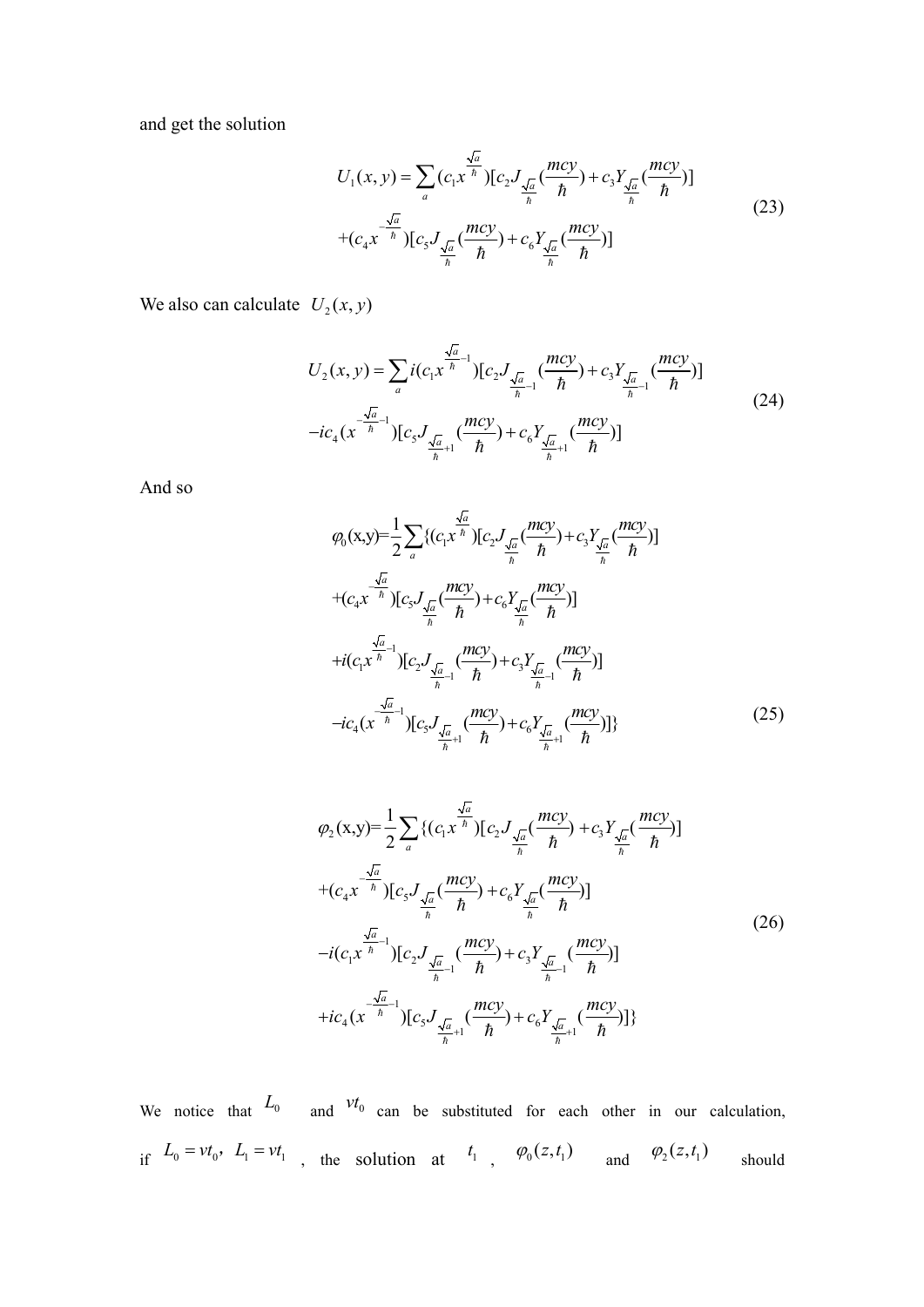and get the [solution](javascript:;)

$$
U_1(x, y) = \sum_{a} (c_1 x^{\frac{\sqrt{a}}{h}}) [c_2 J_{\frac{\sqrt{a}}{h}}(\frac{mcy}{h}) + c_3 Y_{\frac{\sqrt{a}}{h}}(\frac{mcy}{h})]
$$
  
+ $(c_4 x^{\frac{-\sqrt{a}}{h}}) [c_5 J_{\frac{\sqrt{a}}{h}}(\frac{mcy}{h}) + c_6 Y_{\frac{\sqrt{a}}{h}}(\frac{mcy}{h})]$  (23)

We also can calculate  $U_2(x, y)$ 

$$
U_2(x, y) = \sum_{a} i(c_1 x^{\frac{\sqrt{a}}{\hbar}-1}) [c_2 J_{\frac{\sqrt{a}}{\hbar}-1}(\frac{mcy}{\hbar}) + c_3 Y_{\frac{\sqrt{a}}{\hbar}-1}(\frac{mcy}{\hbar})]
$$
  
- $ic_4 (x^{\frac{\sqrt{a}}{\hbar}-1}) [c_5 J_{\frac{\sqrt{a}}{\hbar}+1}(\frac{mcy}{\hbar}) + c_6 Y_{\frac{\sqrt{a}}{\hbar}+1}(\frac{mcy}{\hbar})]$  (24)

And so

$$
\varphi_{0}(x,y)=\frac{1}{2}\sum_{a}\{(c_{1}x^{\frac{\sqrt{a}}{h}})[c_{2}J_{\frac{\sqrt{a}}{h}}(\frac{mcy}{h})+c_{3}Y_{\frac{\sqrt{a}}{h}}(\frac{mcy}{h})]
$$
  
+ $(c_{4}x^{\frac{\sqrt{a}}{h}})[c_{5}J_{\frac{\sqrt{a}}{h}}(\frac{mcy}{h})+c_{6}Y_{\frac{\sqrt{a}}{h}}(\frac{mcy}{h})]$   
+ $i(c_{1}x^{\frac{\sqrt{a}}{h}-1})[c_{2}J_{\frac{\sqrt{a}}{h}-1}(\frac{mcy}{h})+c_{3}Y_{\frac{\sqrt{a}}{h}-1}(\frac{mcy}{h})]$   
- $ic_{4}(x^{\frac{\sqrt{a}}{h}-1})[c_{5}J_{\frac{\sqrt{a}}{h}+1}(\frac{mcy}{h})+c_{6}Y_{\frac{\sqrt{a}}{h}+1}(\frac{mcy}{h})]$ \n(25)

$$
\varphi_{2}(x,y)=\frac{1}{2}\sum_{a}\{(c_{1}x^{\frac{\sqrt{a}}{\hbar}})[c_{2}J_{\frac{\sqrt{a}}{\hbar}}(\frac{mcy}{\hbar})+c_{3}Y_{\frac{\sqrt{a}}{\hbar}}(\frac{mcy}{\hbar})]
$$
  
+ $(c_{4}x^{\frac{\sqrt{a}}{\hbar}})[c_{5}J_{\frac{\sqrt{a}}{\hbar}}(\frac{mcy}{\hbar})+c_{6}Y_{\frac{\sqrt{a}}{\hbar}}(\frac{mcy}{\hbar})]$   
- $i(c_{1}x^{\frac{\sqrt{a}}{\hbar}-1})[c_{2}J_{\frac{\sqrt{a}}{\hbar}-1}(\frac{mcy}{\hbar})+c_{3}Y_{\frac{\sqrt{a}}{\hbar}-1}(\frac{mcy}{\hbar})]$   
+ $ic_{4}(x^{\frac{\sqrt{a}}{\hbar}-1})[c_{5}J_{\frac{\sqrt{a}}{\hbar}+1}(\frac{mcy}{\hbar})+c_{6}Y_{\frac{\sqrt{a}}{\hbar}+1}(\frac{mcy}{\hbar})]$  (26)

We notice that  $L_0$  and  $vt_0$  can be substituted for each other in our calculation, if  $L_0 = vt_0$ ,  $L_1 = vt_1$ , the [solution](javascript:;) at  $t_1$ ,  $\varphi_0(z,t_1)$  and  $\varphi_2(z,t_1)$  should should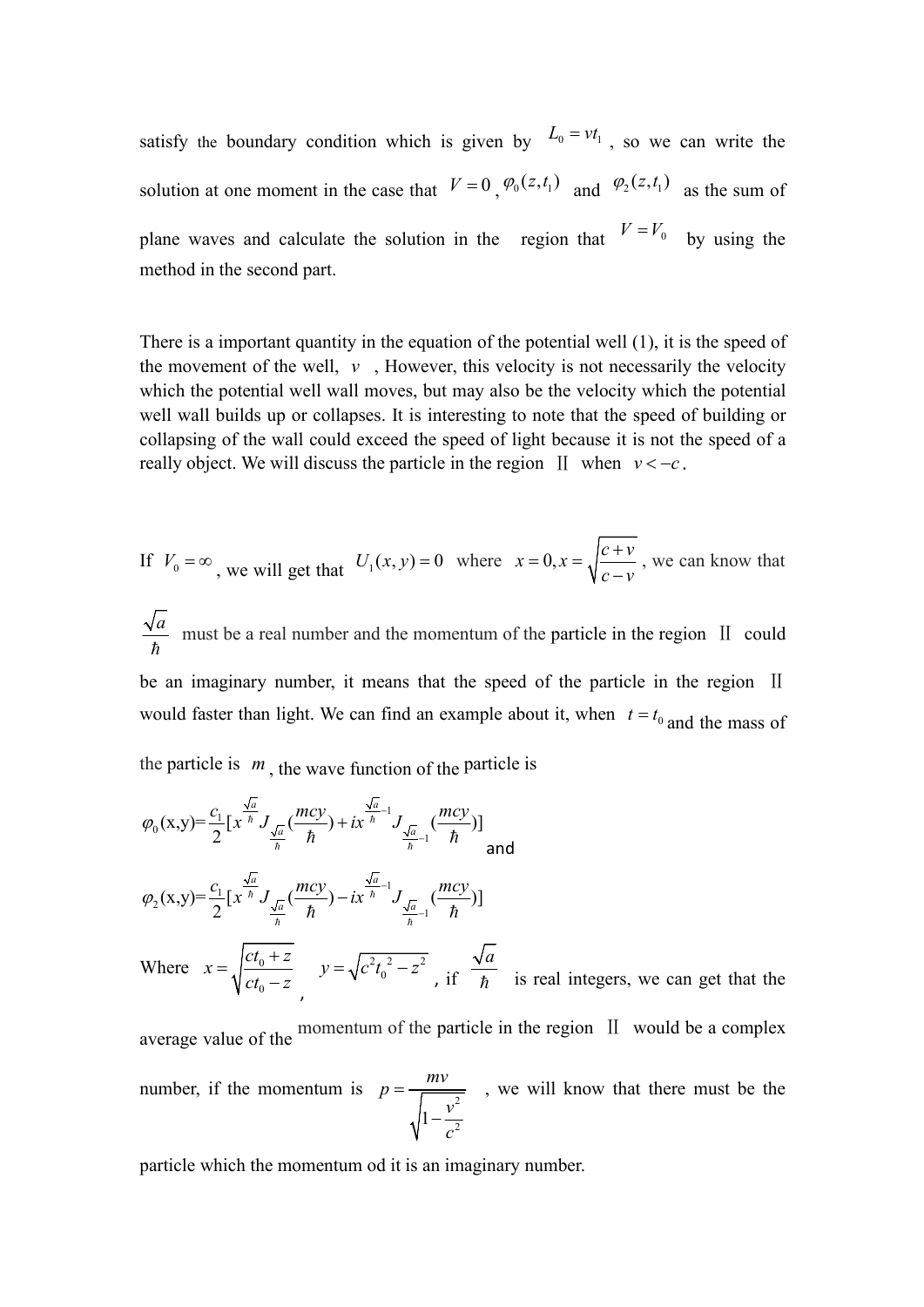satisfy the boundary condition which is given by  $L_0 = vt_1$ , so we can write the [solution](javascript:;) at one moment in the case that  $V = 0$ ,  $\varphi_0(z,t_1)$  and  $\varphi_2(z,t_1)$  as the sum of plane waves and calculate the solution in the [region](javascript:;) that  $V = V_0$  by using the method in the second part.

There is a important quantity in the equation of the potential well (1), it is the speed of the movement of the well,  $\nu$ , However, this velocity is not necessarily the velocity which the potential well wall moves, but may also be the velocity which the potential well wall builds up or collapses. It is interesting to note that the speed of building or collapsing of the wall could exceed the speed of light because it is not the speed of a really object. We will discuss the particle in the region  $\text{II}$  when  $v < -c$ .

If 
$$
V_0 = \infty
$$
, we will get that  $U_1(x, y) = 0$  where  $x = 0, x = \sqrt{\frac{c + v}{c - v}}$ , we can know that

*a a and* **b** *a a na a a n a a a a a a a a a a a a a a a a a*  $\hbar$ must be a real number and the momentum of the particle in the region Ⅱ could be an imaginary number, it means that the speed of the particle in the region II would faster than light. We can find an example about it, when  $t = t_0$  and the mass of the particle is  $m$ , the wave function of the particle is

$$
\varphi_{0}(x,y) = \frac{c_{1}}{2} \left[ x^{\frac{\sqrt{a}}{\hbar}} J_{\frac{\sqrt{a}}{\hbar}}(\frac{mcy}{\hbar}) + ix^{\frac{\sqrt{a}}{\hbar}-1} J_{\frac{\sqrt{a}}{\hbar}-1}(\frac{mcy}{\hbar}) \right]
$$
  

$$
\varphi_{2}(x,y) = \frac{c_{1}}{2} \left[ x^{\frac{\sqrt{a}}{\hbar}} J_{\frac{\sqrt{a}}{\hbar}}(\frac{mcy}{\hbar}) - ix^{\frac{\sqrt{a}}{\hbar}-1} J_{\frac{\sqrt{a}}{\hbar}-1}(\frac{mcy}{\hbar}) \right]
$$

Where  $x = \sqrt{\frac{c_0 + 2}{v}}$   $y = \sqrt{c^2 t_0^2 - z^2}$  $0 \left( \begin{array}{cc} 0 & \mathcal{L} \end{array} \right)$  $x = \sqrt{ct_0 + z}$   $y = \sqrt{c^2t_0^2 - z^2}$   $z = \sqrt{a^2 + z^2}$  $ct_0 - z$   $V^{-0}$ , if  $\hbar$  $y = \sqrt{ct_0 + z}$   $y = \sqrt{c^2 t_0^2 - z^2}$  is  $\frac{\sqrt{a}}{a}$  is used into  $\frac{d^2z}{dz^2}$   $y = \sqrt{c^2t_0^2 - z^2}$ , if  $\frac{\sqrt{u}}{\hbar}$  is real integers, we can get *a*  $\hbar$  is real integers, we can get that the

average value of the momentum of the particle in the region II would be a complex number, if the momentum is  $p = \frac{mv}{\sqrt{v^2}}$ , we will know th  $\frac{v}{a^2}$  $p = \frac{mv}{\sqrt{mv}}$ , we will know that there n  $v^2$  $=\frac{mv}{\sqrt{1-\frac{v^2}{c^2}}}$ , we will know that there must  $-\frac{v}{2}$ , we will know that there must be the

particle which the momentum od it is an imaginary number.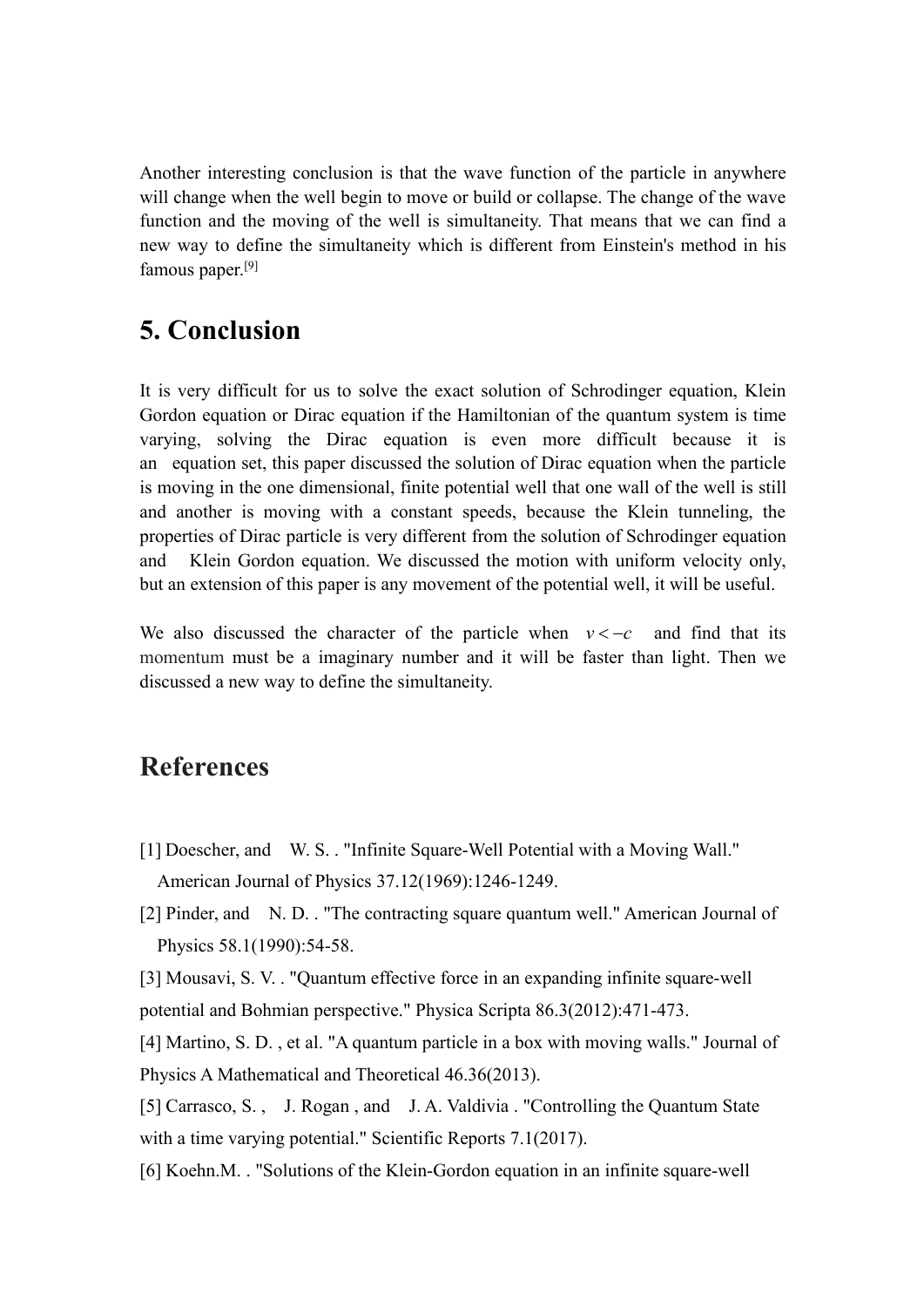Another interesting conclusion is that the wave function of the particle in anywhere will change when the well begin to move or build or collapse. The change of the wave function and the moving of the well is simultaneity. That means that we can find a new way to define the simultaneity which is different from Einstein's method in his famous paper. [9]

## **5. Conclusion**

It is very difficult for us to solve the exact solution of Schrodinger equation, Klein Gordon equation or Dirac equation if the Hamiltonian of the quantum system is time varying, solving the Dirac equation is even more difficult because it is an [equation](javascript:;) [set,](javascript:;) this paper discussed the solution of Dirac equation when the particle is moving in the one dimensional, finite potential well that one wall of the well is [still](javascript:;) and another is moving with a constant speeds, because the Klein tunneling, the properties of Dirac particle is very different from the solution of Schrodinger equation and Klein Gordon equation. We discussed the motion with uniform velocity only, but an extension of this paper is any movement of the potential well, it will be useful.

We also discussed the character of the particle when  $v < -c$  and find that its momentum must be a imaginary number and it will be faster than light. Then we discussed a new way to define the simultaneity.

### **References**

- [1] Doescher, and W. S. . "Infinite Square-Well Potential with a Moving Wall." American Journal of Physics 37.12(1969):1246-1249.
- [2] Pinder, and N. D. . "The contracting square quantum well." American Journal of Physics 58.1(1990):54-58.

[3] Mousavi, S. V. . "Quantum effective force in an expanding infinite square-well potential and Bohmian perspective." Physica Scripta 86.3(2012):471-473.

[4] Martino, S. D. , et al. "A quantum particle in a box with moving walls." Journal of Physics A Mathematical and Theoretical 46.36(2013).

[5] Carrasco, S. , J. Rogan , and J. A. Valdivia . "Controlling the Quantum State with a time varying potential." Scientific Reports 7.1(2017).

[6] Koehn.M. . "Solutions of the Klein-Gordon equation in an infinite square-well